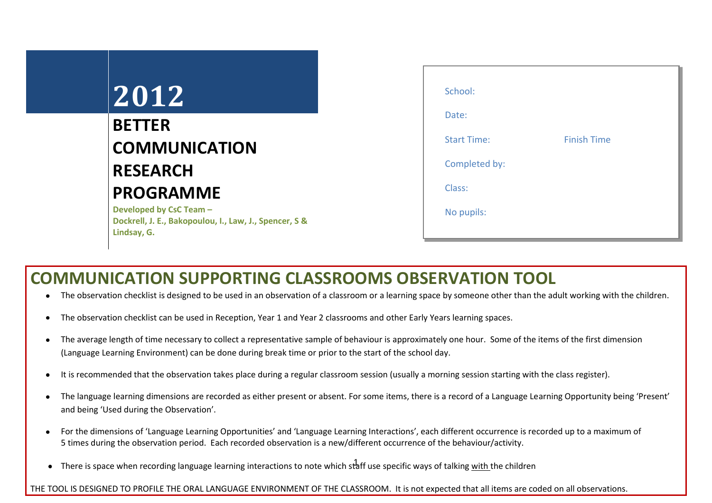## **2012**

## **BETTER COMMUNICATION RESEARCH PROGRAMME**

**Developed by CsC Team – Dockrell, J. E., Bakopoulou, I., Law, J., Spencer, S & Lindsay, G.**

| School:            |                    |  |
|--------------------|--------------------|--|
| Date:              |                    |  |
| <b>Start Time:</b> | <b>Finish Time</b> |  |
| Completed by:      |                    |  |
| Class:             |                    |  |
| No pupils:         |                    |  |
|                    |                    |  |

## **COMMUNICATION SUPPORTING CLASSROOMS OBSERVATION TOOL**

- The observation checklist is designed to be used in an observation of a classroom or a learning space by someone other than the adult working with the children.
- The observation checklist can be used in Reception, Year 1 and Year 2 classrooms and other Early Years learning spaces.
- The average length of time necessary to collect a representative sample of behaviour is approximately one hour. Some of the items of the first dimension (Language Learning Environment) can be done during break time or prior to the start of the school day.
- It is recommended that the observation takes place during a regular classroom session (usually a morning session starting with the class register).
- The language learning dimensions are recorded as either present or absent. For some items, there is a record of a Language Learning Opportunity being 'Present'  $\bullet$ and being 'Used during the Observation'.
- For the dimensions of 'Language Learning Opportunities' and 'Language Learning Interactions', each different occurrence is recorded up to a maximum of  $\bullet$ 5 times during the observation period. Each recorded observation is a new/different occurrence of the behaviour/activity.
- There is space when recording language learning interactions to note which staff use specific ways of talking <u>with t</u>he children

THE TOOL IS DESIGNED TO PROFILE THE ORAL LANGUAGE ENVIRONMENT OF THE CLASSROOM. It is not expected that all items are coded on all observations.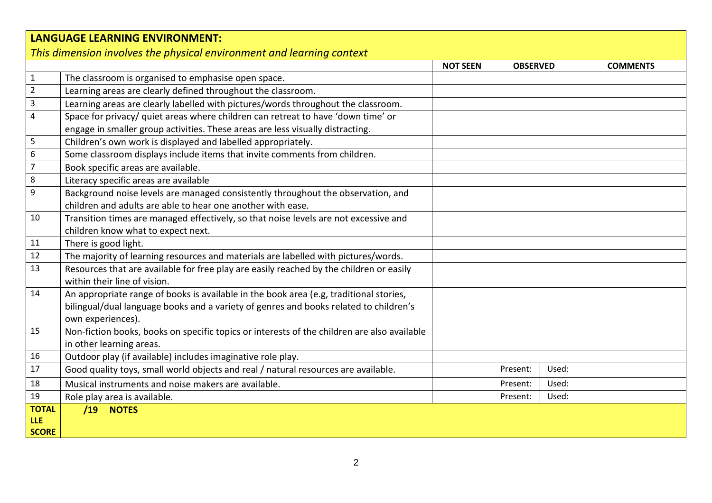## **LANGUAGE LEARNING ENVIRONMENT:** *This dimension involves the physical environment and learning context* **NOT SEEN OBSERVED COMMENTS** 1 | The classroom is organised to emphasise open space. 2 Learning areas are clearly defined throughout the classroom. 3 Learning areas are clearly labelled with pictures/words throughout the classroom. 4 Space for privacy/ quiet areas where children can retreat to have 'down time' or engage in smaller group activities. These areas are less visually distracting. 5 Children's own work is displayed and labelled appropriately. 6 Some classroom displays include items that invite comments from children. 7 Book specific areas are available. 8 Literacy specific areas are available 9 Background noise levels are managed consistently throughout the observation, and children and adults are able to hear one another with ease. 10 Transition times are managed effectively, so that noise levels are not excessive and children know what to expect next. 11 | There is good light. 12 | The majority of learning resources and materials are labelled with pictures/words. 13 Resources that are available for free play are easily reached by the children or easily within their line of vision. 14 An appropriate range of books is available in the book area (e.g, traditional stories, bilingual/dual language books and a variety of genres and books related to children's own experiences). 15 | Non-fiction books, books on specific topics or interests of the children are also available in other learning areas. 16 Outdoor play (if available) includes imaginative role play. 17 Good quality toys, small world objects and real / natural resources are available. Present: Present: | Used: 18 | Musical instruments and noise makers are available. Note that the example of the second late of the present: Used: 19 Role play area is available. A contract the set of the set of the set of the set of the set of the set of the set of the set of the set of the set of the set of the set of the set of the set of the set of the set of the **TOTAL /19 NOTES**

**LLE SCORE**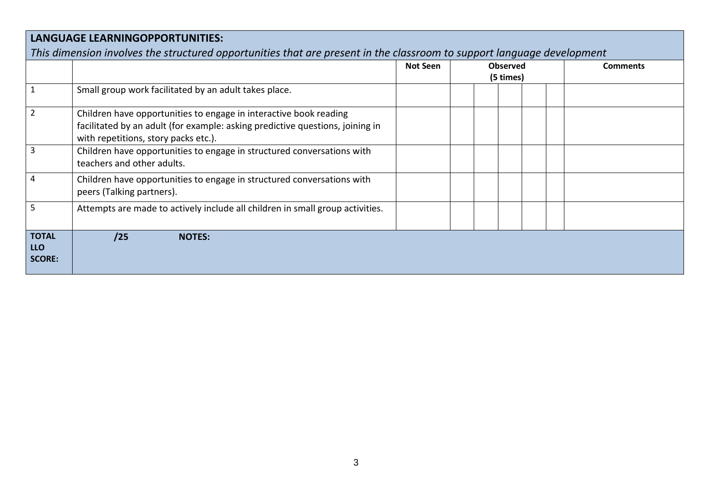|                                             |                                                                                                                                                                                            | <b>Not Seen</b> | <b>Observed</b><br>(5 times) | <b>Comments</b> |
|---------------------------------------------|--------------------------------------------------------------------------------------------------------------------------------------------------------------------------------------------|-----------------|------------------------------|-----------------|
|                                             | Small group work facilitated by an adult takes place.                                                                                                                                      |                 |                              |                 |
|                                             | Children have opportunities to engage in interactive book reading<br>facilitated by an adult (for example: asking predictive questions, joining in<br>with repetitions, story packs etc.). |                 |                              |                 |
|                                             | Children have opportunities to engage in structured conversations with<br>teachers and other adults.                                                                                       |                 |                              |                 |
| 4                                           | Children have opportunities to engage in structured conversations with<br>peers (Talking partners).                                                                                        |                 |                              |                 |
| 5.                                          | Attempts are made to actively include all children in small group activities.                                                                                                              |                 |                              |                 |
| <b>TOTAL</b><br><b>LLO</b><br><b>SCORE:</b> | /25<br><b>NOTES:</b>                                                                                                                                                                       |                 |                              |                 |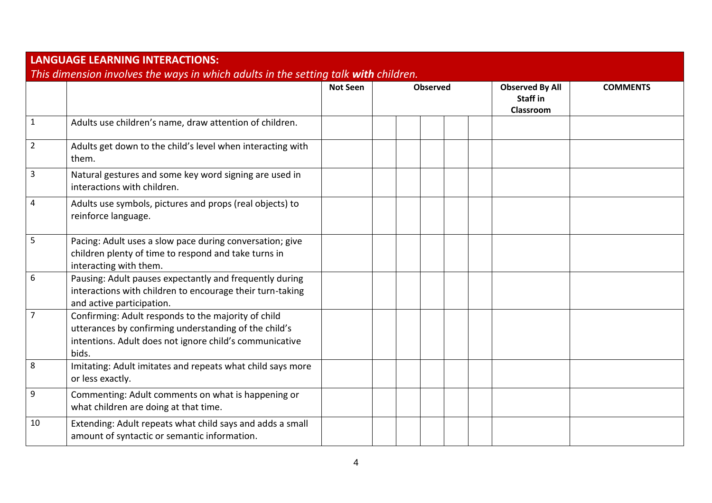| <b>LANGUAGE LEARNING INTERACTIONS:</b>                                              |                                                                                                                                                                                  |                 |  |                 |  |  |  |                                                 |                 |
|-------------------------------------------------------------------------------------|----------------------------------------------------------------------------------------------------------------------------------------------------------------------------------|-----------------|--|-----------------|--|--|--|-------------------------------------------------|-----------------|
| This dimension involves the ways in which adults in the setting talk with children. |                                                                                                                                                                                  |                 |  |                 |  |  |  |                                                 |                 |
|                                                                                     |                                                                                                                                                                                  | <b>Not Seen</b> |  | <b>Observed</b> |  |  |  | <b>Observed By All</b><br>Staff in<br>Classroom | <b>COMMENTS</b> |
| $\mathbf{1}$                                                                        | Adults use children's name, draw attention of children.                                                                                                                          |                 |  |                 |  |  |  |                                                 |                 |
| $\overline{2}$                                                                      | Adults get down to the child's level when interacting with<br>them.                                                                                                              |                 |  |                 |  |  |  |                                                 |                 |
| 3                                                                                   | Natural gestures and some key word signing are used in<br>interactions with children.                                                                                            |                 |  |                 |  |  |  |                                                 |                 |
| 4                                                                                   | Adults use symbols, pictures and props (real objects) to<br>reinforce language.                                                                                                  |                 |  |                 |  |  |  |                                                 |                 |
| 5                                                                                   | Pacing: Adult uses a slow pace during conversation; give<br>children plenty of time to respond and take turns in<br>interacting with them.                                       |                 |  |                 |  |  |  |                                                 |                 |
| 6                                                                                   | Pausing: Adult pauses expectantly and frequently during<br>interactions with children to encourage their turn-taking<br>and active participation.                                |                 |  |                 |  |  |  |                                                 |                 |
| 7                                                                                   | Confirming: Adult responds to the majority of child<br>utterances by confirming understanding of the child's<br>intentions. Adult does not ignore child's communicative<br>bids. |                 |  |                 |  |  |  |                                                 |                 |
| 8                                                                                   | Imitating: Adult imitates and repeats what child says more<br>or less exactly.                                                                                                   |                 |  |                 |  |  |  |                                                 |                 |
| 9                                                                                   | Commenting: Adult comments on what is happening or<br>what children are doing at that time.                                                                                      |                 |  |                 |  |  |  |                                                 |                 |
| 10                                                                                  | Extending: Adult repeats what child says and adds a small<br>amount of syntactic or semantic information.                                                                        |                 |  |                 |  |  |  |                                                 |                 |